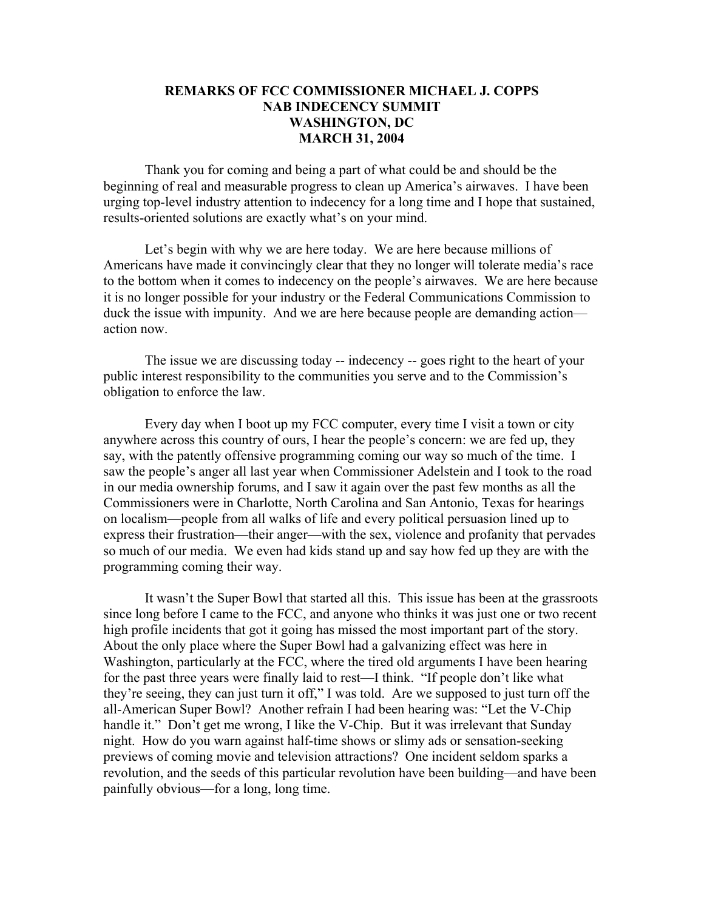## **REMARKS OF FCC COMMISSIONER MICHAEL J. COPPS NAB INDECENCY SUMMIT WASHINGTON, DC MARCH 31, 2004**

Thank you for coming and being a part of what could be and should be the beginning of real and measurable progress to clean up America's airwaves. I have been urging top-level industry attention to indecency for a long time and I hope that sustained, results-oriented solutions are exactly what's on your mind.

Let's begin with why we are here today. We are here because millions of Americans have made it convincingly clear that they no longer will tolerate media's race to the bottom when it comes to indecency on the people's airwaves. We are here because it is no longer possible for your industry or the Federal Communications Commission to duck the issue with impunity. And we are here because people are demanding action action now.

The issue we are discussing today -- indecency -- goes right to the heart of your public interest responsibility to the communities you serve and to the Commission's obligation to enforce the law.

Every day when I boot up my FCC computer, every time I visit a town or city anywhere across this country of ours, I hear the people's concern: we are fed up, they say, with the patently offensive programming coming our way so much of the time. I saw the people's anger all last year when Commissioner Adelstein and I took to the road in our media ownership forums, and I saw it again over the past few months as all the Commissioners were in Charlotte, North Carolina and San Antonio, Texas for hearings on localism—people from all walks of life and every political persuasion lined up to express their frustration—their anger—with the sex, violence and profanity that pervades so much of our media. We even had kids stand up and say how fed up they are with the programming coming their way.

It wasn't the Super Bowl that started all this. This issue has been at the grassroots since long before I came to the FCC, and anyone who thinks it was just one or two recent high profile incidents that got it going has missed the most important part of the story. About the only place where the Super Bowl had a galvanizing effect was here in Washington, particularly at the FCC, where the tired old arguments I have been hearing for the past three years were finally laid to rest—I think. "If people don't like what they're seeing, they can just turn it off," I was told. Are we supposed to just turn off the all-American Super Bowl? Another refrain I had been hearing was: "Let the V-Chip handle it." Don't get me wrong, I like the V-Chip. But it was irrelevant that Sunday night. How do you warn against half-time shows or slimy ads or sensation-seeking previews of coming movie and television attractions? One incident seldom sparks a revolution, and the seeds of this particular revolution have been building—and have been painfully obvious—for a long, long time.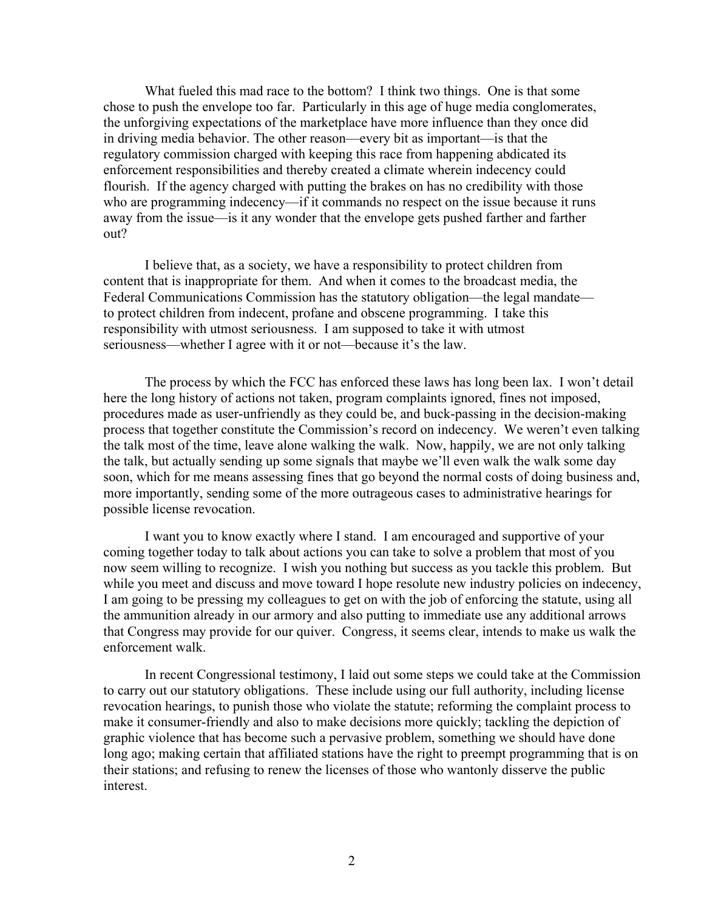What fueled this mad race to the bottom? I think two things. One is that some chose to push the envelope too far. Particularly in this age of huge media conglomerates, the unforgiving expectations of the marketplace have more influence than they once did in driving media behavior. The other reason—every bit as important—is that the regulatory commission charged with keeping this race from happening abdicated its enforcement responsibilities and thereby created a climate wherein indecency could flourish. If the agency charged with putting the brakes on has no credibility with those who are programming indecency—if it commands no respect on the issue because it runs away from the issue—is it any wonder that the envelope gets pushed farther and farther out?

I believe that, as a society, we have a responsibility to protect children from content that is inappropriate for them. And when it comes to the broadcast media, the Federal Communications Commission has the statutory obligation—the legal mandate to protect children from indecent, profane and obscene programming. I take this responsibility with utmost seriousness. I am supposed to take it with utmost seriousness—whether I agree with it or not—because it's the law.

The process by which the FCC has enforced these laws has long been lax. I won't detail here the long history of actions not taken, program complaints ignored, fines not imposed, procedures made as user-unfriendly as they could be, and buck-passing in the decision-making process that together constitute the Commission's record on indecency. We weren't even talking the talk most of the time, leave alone walking the walk. Now, happily, we are not only talking the talk, but actually sending up some signals that maybe we'll even walk the walk some day soon, which for me means assessing fines that go beyond the normal costs of doing business and, more importantly, sending some of the more outrageous cases to administrative hearings for possible license revocation.

I want you to know exactly where I stand. I am encouraged and supportive of your coming together today to talk about actions you can take to solve a problem that most of you now seem willing to recognize. I wish you nothing but success as you tackle this problem. But while you meet and discuss and move toward I hope resolute new industry policies on indecency, I am going to be pressing my colleagues to get on with the job of enforcing the statute, using all the ammunition already in our armory and also putting to immediate use any additional arrows that Congress may provide for our quiver. Congress, it seems clear, intends to make us walk the enforcement walk.

In recent Congressional testimony, I laid out some steps we could take at the Commission to carry out our statutory obligations. These include using our full authority, including license revocation hearings, to punish those who violate the statute; reforming the complaint process to make it consumer-friendly and also to make decisions more quickly; tackling the depiction of graphic violence that has become such a pervasive problem, something we should have done long ago; making certain that affiliated stations have the right to preempt programming that is on their stations; and refusing to renew the licenses of those who wantonly disserve the public interest.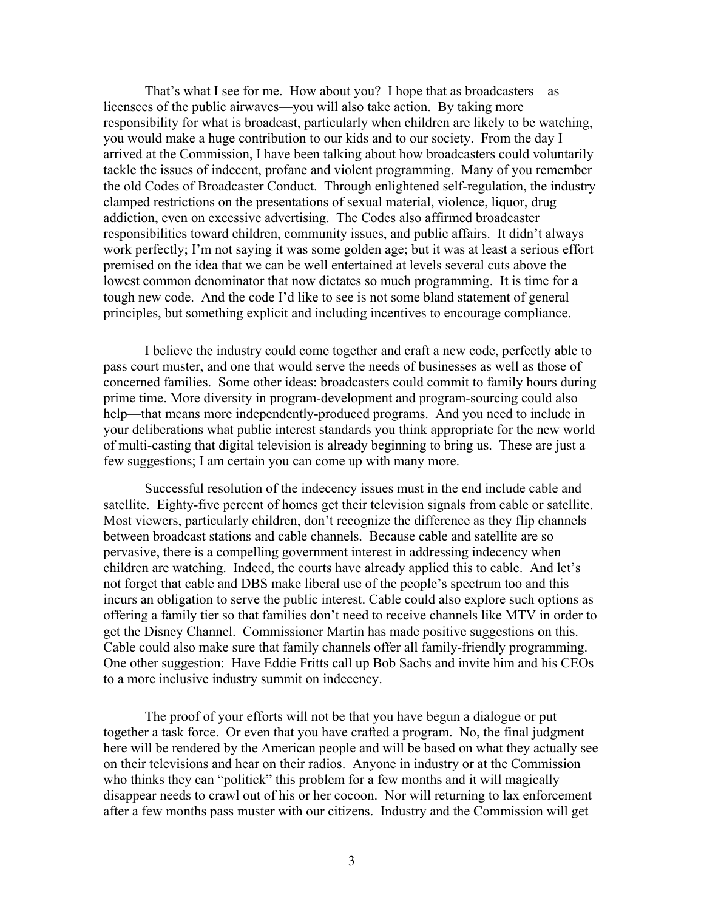That's what I see for me. How about you? I hope that as broadcasters—as licensees of the public airwaves—you will also take action. By taking more responsibility for what is broadcast, particularly when children are likely to be watching, you would make a huge contribution to our kids and to our society. From the day I arrived at the Commission, I have been talking about how broadcasters could voluntarily tackle the issues of indecent, profane and violent programming. Many of you remember the old Codes of Broadcaster Conduct. Through enlightened self-regulation, the industry clamped restrictions on the presentations of sexual material, violence, liquor, drug addiction, even on excessive advertising. The Codes also affirmed broadcaster responsibilities toward children, community issues, and public affairs. It didn't always work perfectly; I'm not saying it was some golden age; but it was at least a serious effort premised on the idea that we can be well entertained at levels several cuts above the lowest common denominator that now dictates so much programming. It is time for a tough new code. And the code I'd like to see is not some bland statement of general principles, but something explicit and including incentives to encourage compliance.

I believe the industry could come together and craft a new code, perfectly able to pass court muster, and one that would serve the needs of businesses as well as those of concerned families. Some other ideas: broadcasters could commit to family hours during prime time. More diversity in program-development and program-sourcing could also help—that means more independently-produced programs. And you need to include in your deliberations what public interest standards you think appropriate for the new world of multi-casting that digital television is already beginning to bring us. These are just a few suggestions; I am certain you can come up with many more.

Successful resolution of the indecency issues must in the end include cable and satellite. Eighty-five percent of homes get their television signals from cable or satellite. Most viewers, particularly children, don't recognize the difference as they flip channels between broadcast stations and cable channels. Because cable and satellite are so pervasive, there is a compelling government interest in addressing indecency when children are watching. Indeed, the courts have already applied this to cable. And let's not forget that cable and DBS make liberal use of the people's spectrum too and this incurs an obligation to serve the public interest. Cable could also explore such options as offering a family tier so that families don't need to receive channels like MTV in order to get the Disney Channel. Commissioner Martin has made positive suggestions on this. Cable could also make sure that family channels offer all family-friendly programming. One other suggestion: Have Eddie Fritts call up Bob Sachs and invite him and his CEOs to a more inclusive industry summit on indecency.

The proof of your efforts will not be that you have begun a dialogue or put together a task force. Or even that you have crafted a program. No, the final judgment here will be rendered by the American people and will be based on what they actually see on their televisions and hear on their radios. Anyone in industry or at the Commission who thinks they can "politick" this problem for a few months and it will magically disappear needs to crawl out of his or her cocoon. Nor will returning to lax enforcement after a few months pass muster with our citizens. Industry and the Commission will get